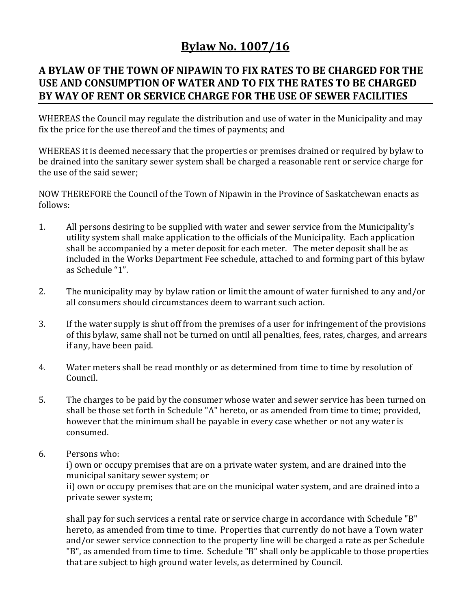## **Bylaw No. 1007/16**

## **A BYLAW OF THE TOWN OF NIPAWIN TO FIX RATES TO BE CHARGED FOR THE USE AND CONSUMPTION OF WATER AND TO FIX THE RATES TO BE CHARGED BY WAY OF RENT OR SERVICE CHARGE FOR THE USE OF SEWER FACILITIES**

WHEREAS the Council may regulate the distribution and use of water in the Municipality and may fix the price for the use thereof and the times of payments; and

WHEREAS it is deemed necessary that the properties or premises drained or required by bylaw to be drained into the sanitary sewer system shall be charged a reasonable rent or service charge for the use of the said sewer;

NOW THEREFORE the Council of the Town of Nipawin in the Province of Saskatchewan enacts as follows:

- 1. All persons desiring to be supplied with water and sewer service from the Municipality's utility system shall make application to the officials of the Municipality. Each application shall be accompanied by a meter deposit for each meter. The meter deposit shall be as included in the Works Department Fee schedule, attached to and forming part of this bylaw as Schedule "1".
- 2. The municipality may by bylaw ration or limit the amount of water furnished to any and/or all consumers should circumstances deem to warrant such action.
- 3. If the water supply is shut off from the premises of a user for infringement of the provisions of this bylaw, same shall not be turned on until all penalties, fees, rates, charges, and arrears if any, have been paid.
- 4. Water meters shall be read monthly or as determined from time to time by resolution of Council.
- 5. The charges to be paid by the consumer whose water and sewer service has been turned on shall be those set forth in Schedule "A" hereto, or as amended from time to time; provided, however that the minimum shall be payable in every case whether or not any water is consumed.
- 6. Persons who:

i) own or occupy premises that are on a private water system, and are drained into the municipal sanitary sewer system; or ii) own or occupy premises that are on the municipal water system, and are drained into a private sewer system;

shall pay for such services a rental rate or service charge in accordance with Schedule "B" hereto, as amended from time to time. Properties that currently do not have a Town water and/or sewer service connection to the property line will be charged a rate as per Schedule "B", as amended from time to time. Schedule "B" shall only be applicable to those properties that are subject to high ground water levels, as determined by Council.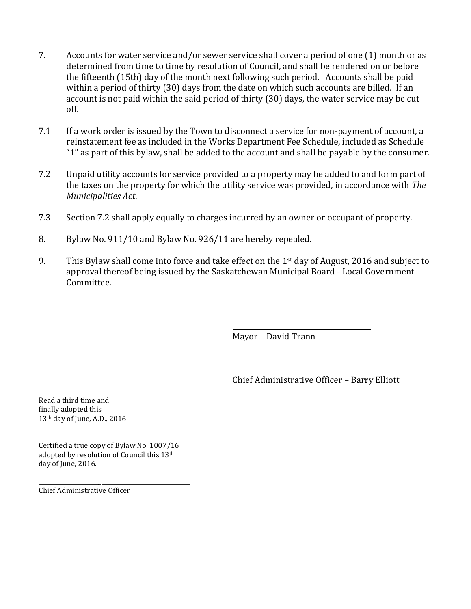- 7. Accounts for water service and/or sewer service shall cover a period of one (1) month or as determined from time to time by resolution of Council, and shall be rendered on or before the fifteenth (15th) day of the month next following such period. Accounts shall be paid within a period of thirty (30) days from the date on which such accounts are billed. If an account is not paid within the said period of thirty (30) days, the water service may be cut off.
- 7.1 If a work order is issued by the Town to disconnect a service for non-payment of account, a reinstatement fee as included in the Works Department Fee Schedule, included as Schedule "1" as part of this bylaw, shall be added to the account and shall be payable by the consumer.
- 7.2 Unpaid utility accounts for service provided to a property may be added to and form part of the taxes on the property for which the utility service was provided, in accordance with *The Municipalities Act*.
- 7.3 Section 7.2 shall apply equally to charges incurred by an owner or occupant of property.
- 8. Bylaw No. 911/10 and Bylaw No. 926/11 are hereby repealed.
- 9. This Bylaw shall come into force and take effect on the 1st day of August, 2016 and subject to approval thereof being issued by the Saskatchewan Municipal Board - Local Government Committee.

Mayor – David Trann

Chief Administrative Officer – Barry Elliott

Read a third time and finally adopted this 13th day of June, A.D., 2016.

Certified a true copy of Bylaw No. 1007/16 adopted by resolution of Council this 13th day of June, 2016.

\_\_\_\_\_\_\_\_\_\_\_\_\_\_\_\_\_\_\_\_\_\_\_\_\_\_\_\_\_\_\_\_\_\_\_\_\_\_\_\_\_\_\_\_\_\_\_\_\_\_\_\_\_ Chief Administrative Officer